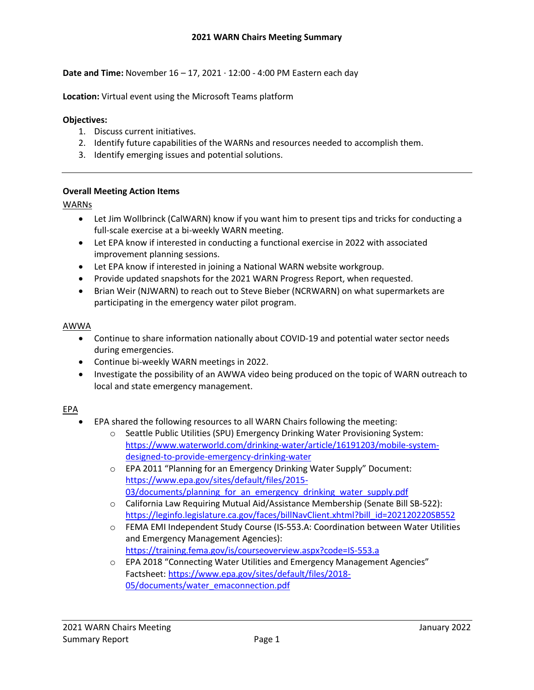**Date and Time:** November 16 – 17, 2021 ∙ 12:00 - 4:00 PM Eastern each day

**Location:** Virtual event using the Microsoft Teams platform

#### **Objectives:**

- 1. Discuss current initiatives.
- 2. Identify future capabilities of the WARNs and resources needed to accomplish them.
- 3. Identify emerging issues and potential solutions.

#### **Overall Meeting Action Items**

#### WARNs

- Let Jim Wollbrinck (CalWARN) know if you want him to present tips and tricks for conducting a full-scale exercise at a bi-weekly WARN meeting.
- Let EPA know if interested in conducting a functional exercise in 2022 with associated improvement planning sessions.
- Let EPA know if interested in joining a National WARN website workgroup.
- Provide updated snapshots for the 2021 WARN Progress Report, when requested.
- Brian Weir (NJWARN) to reach out to Steve Bieber (NCRWARN) on what supermarkets are participating in the emergency water pilot program.

#### AWWA

- Continue to share information nationally about COVID-19 and potential water sector needs during emergencies.
- Continue bi-weekly WARN meetings in 2022.
- Investigate the possibility of an AWWA video being produced on the topic of WARN outreach to local and state emergency management.

## EPA

- EPA shared the following resources to all WARN Chairs following the meeting:
	- o Seattle Public Utilities (SPU) Emergency Drinking Water Provisioning System: [https://www.waterworld.com/drinking-water/article/16191203/mobile-system](https://www.waterworld.com/drinking-water/article/16191203/mobile-system-designed-to-provide-emergency-drinking-water)[designed-to-provide-emergency-drinking-water](https://www.waterworld.com/drinking-water/article/16191203/mobile-system-designed-to-provide-emergency-drinking-water)
	- o EPA 2011 "Planning for an Emergency Drinking Water Supply" Document: [https://www.epa.gov/sites/default/files/2015-](https://www.epa.gov/sites/default/files/2015-03/documents/planning_for_an_emergency_drinking_water_supply.pdf) 03/documents/planning for an emergency drinking water supply.pdf
	- o California Law Requiring Mutual Aid/Assistance Membership (Senate Bill SB-522): [https://leginfo.legislature.ca.gov/faces/billNavClient.xhtml?bill\\_id=202120220SB552](https://leginfo.legislature.ca.gov/faces/billNavClient.xhtml?bill_id=202120220SB552)
	- o FEMA EMI Independent Study Course (IS-553.A: Coordination between Water Utilities and Emergency Management Agencies): <https://training.fema.gov/is/courseoverview.aspx?code=IS-553.a>
	- o EPA 2018 "Connecting Water Utilities and Emergency Management Agencies" Factsheet: [https://www.epa.gov/sites/default/files/2018-](https://www.epa.gov/sites/default/files/2018-05/documents/water_emaconnection.pdf) [05/documents/water\\_emaconnection.pdf](https://www.epa.gov/sites/default/files/2018-05/documents/water_emaconnection.pdf)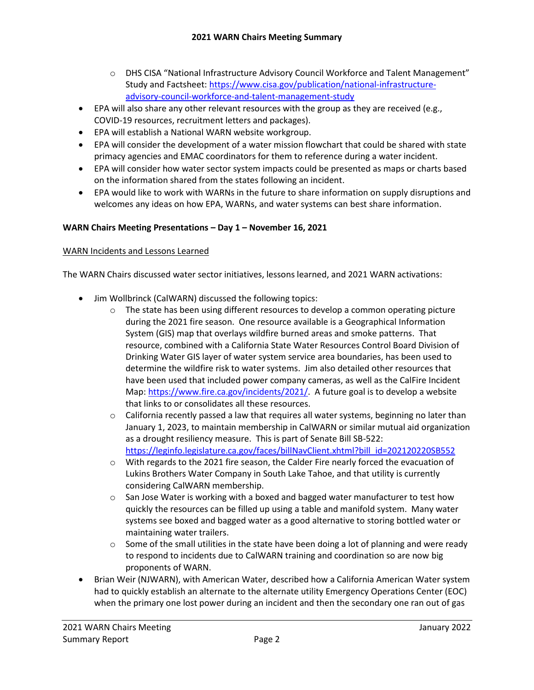- o DHS CISA "National Infrastructure Advisory Council Workforce and Talent Management" Study and Factsheet: [https://www.cisa.gov/publication/national-infrastructure](https://www.cisa.gov/publication/national-infrastructure-advisory-council-workforce-and-talent-management-study)[advisory-council-workforce-and-talent-management-study](https://www.cisa.gov/publication/national-infrastructure-advisory-council-workforce-and-talent-management-study)
- EPA will also share any other relevant resources with the group as they are received (e.g., COVID-19 resources, recruitment letters and packages).
- EPA will establish a National WARN website workgroup.
- EPA will consider the development of a water mission flowchart that could be shared with state primacy agencies and EMAC coordinators for them to reference during a water incident.
- EPA will consider how water sector system impacts could be presented as maps or charts based on the information shared from the states following an incident.
- EPA would like to work with WARNs in the future to share information on supply disruptions and welcomes any ideas on how EPA, WARNs, and water systems can best share information.

# **WARN Chairs Meeting Presentations – Day 1 – November 16, 2021**

#### WARN Incidents and Lessons Learned

The WARN Chairs discussed water sector initiatives, lessons learned, and 2021 WARN activations:

- Jim Wollbrinck (CalWARN) discussed the following topics:
	- $\circ$  The state has been using different resources to develop a common operating picture during the 2021 fire season. One resource available is a Geographical Information System (GIS) map that overlays wildfire burned areas and smoke patterns. That resource, combined with a California State Water Resources Control Board Division of Drinking Water GIS layer of water system service area boundaries, has been used to determine the wildfire risk to water systems. Jim also detailed other resources that have been used that included power company cameras, as well as the CalFire Incident Map: [https://www.fire.ca.gov/incidents/2021/.](https://www.fire.ca.gov/incidents/2021/) A future goal is to develop a website that links to or consolidates all these resources.
	- $\circ$  California recently passed a law that requires all water systems, beginning no later than January 1, 2023, to maintain membership in CalWARN or similar mutual aid organization as a drought resiliency measure. This is part of Senate Bill SB-522: [https://leginfo.legislature.ca.gov/faces/billNavClient.xhtml?bill\\_id=202120220SB552](https://leginfo.legislature.ca.gov/faces/billNavClient.xhtml?bill_id=202120220SB552)
	- $\circ$  With regards to the 2021 fire season, the Calder Fire nearly forced the evacuation of Lukins Brothers Water Company in South Lake Tahoe, and that utility is currently considering CalWARN membership.
	- $\circ$  San Jose Water is working with a boxed and bagged water manufacturer to test how quickly the resources can be filled up using a table and manifold system. Many water systems see boxed and bagged water as a good alternative to storing bottled water or maintaining water trailers.
	- $\circ$  Some of the small utilities in the state have been doing a lot of planning and were ready to respond to incidents due to CalWARN training and coordination so are now big proponents of WARN.
- Brian Weir (NJWARN), with American Water, described how a California American Water system had to quickly establish an alternate to the alternate utility Emergency Operations Center (EOC) when the primary one lost power during an incident and then the secondary one ran out of gas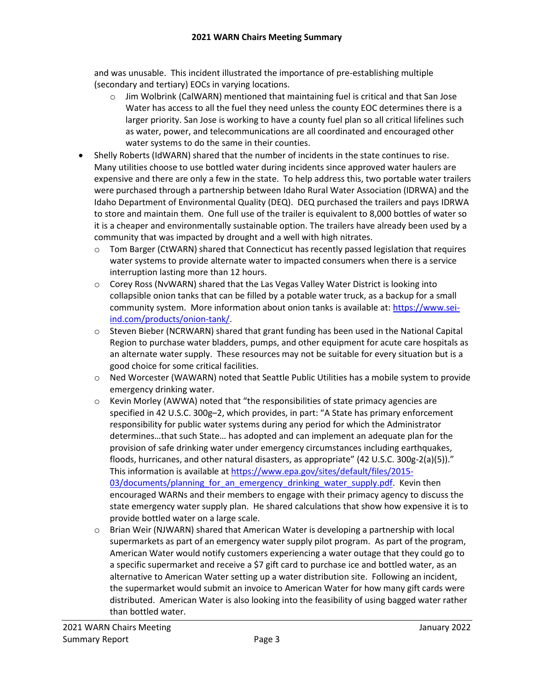and was unusable. This incident illustrated the importance of pre-establishing multiple (secondary and tertiary) EOCs in varying locations.

- o Jim Wolbrink (CalWARN) mentioned that maintaining fuel is critical and that San Jose Water has access to all the fuel they need unless the county EOC determines there is a larger priority. San Jose is working to have a county fuel plan so all critical lifelines such as water, power, and telecommunications are all coordinated and encouraged other water systems to do the same in their counties.
- Shelly Roberts (IdWARN) shared that the number of incidents in the state continues to rise. Many utilities choose to use bottled water during incidents since approved water haulers are expensive and there are only a few in the state. To help address this, two portable water trailers were purchased through a partnership between Idaho Rural Water Association (IDRWA) and the Idaho Department of Environmental Quality (DEQ). DEQ purchased the trailers and pays IDRWA to store and maintain them. One full use of the trailer is equivalent to 8,000 bottles of water so it is a cheaper and environmentally sustainable option. The trailers have already been used by a community that was impacted by drought and a well with high nitrates.
	- o Tom Barger (CtWARN) shared that Connecticut has recently passed legislation that requires water systems to provide alternate water to impacted consumers when there is a service interruption lasting more than 12 hours.
	- o Corey Ross (NvWARN) shared that the Las Vegas Valley Water District is looking into collapsible onion tanks that can be filled by a potable water truck, as a backup for a small community system. More information about onion tanks is available at[: https://www.sei](https://www.sei-ind.com/products/onion-tank/)[ind.com/products/onion-tank/.](https://www.sei-ind.com/products/onion-tank/)
	- o Steven Bieber (NCRWARN) shared that grant funding has been used in the National Capital Region to purchase water bladders, pumps, and other equipment for acute care hospitals as an alternate water supply. These resources may not be suitable for every situation but is a good choice for some critical facilities.
	- o Ned Worcester (WAWARN) noted that Seattle Public Utilities has a mobile system to provide emergency drinking water.
	- o Kevin Morley (AWWA) noted that "the responsibilities of state primacy agencies are specified in 42 U.S.C. 300g–2, which provides, in part: "A State has primary enforcement responsibility for public water systems during any period for which the Administrator determines…that such State… has adopted and can implement an adequate plan for the provision of safe drinking water under emergency circumstances including earthquakes, floods, hurricanes, and other natural disasters, as appropriate" (42 U.S.C. 300g-2(a)(5))." This information is available at [https://www.epa.gov/sites/default/files/2015-](https://www.epa.gov/sites/default/files/2015-03/documents/planning_for_an_emergency_drinking_water_supply.pdf) 03/documents/planning for an emergency drinking water supply.pdf. Kevin then encouraged WARNs and their members to engage with their primacy agency to discuss the state emergency water supply plan. He shared calculations that show how expensive it is to provide bottled water on a large scale.
	- $\circ$  Brian Weir (NJWARN) shared that American Water is developing a partnership with local supermarkets as part of an emergency water supply pilot program. As part of the program, American Water would notify customers experiencing a water outage that they could go to a specific supermarket and receive a \$7 gift card to purchase ice and bottled water, as an alternative to American Water setting up a water distribution site. Following an incident, the supermarket would submit an invoice to American Water for how many gift cards were distributed. American Water is also looking into the feasibility of using bagged water rather than bottled water.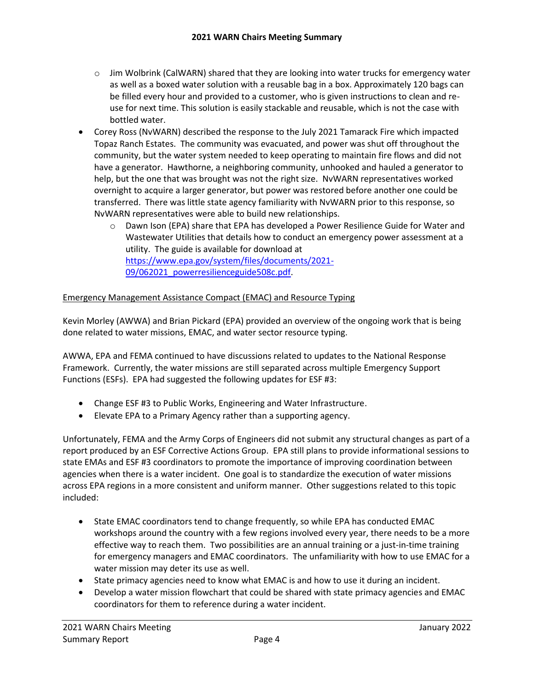- $\circ$  Jim Wolbrink (CalWARN) shared that they are looking into water trucks for emergency water as well as a boxed water solution with a reusable bag in a box. Approximately 120 bags can be filled every hour and provided to a customer, who is given instructions to clean and reuse for next time. This solution is easily stackable and reusable, which is not the case with bottled water.
- Corey Ross (NvWARN) described the response to the July 2021 Tamarack Fire which impacted Topaz Ranch Estates. The community was evacuated, and power was shut off throughout the community, but the water system needed to keep operating to maintain fire flows and did not have a generator. Hawthorne, a neighboring community, unhooked and hauled a generator to help, but the one that was brought was not the right size. NvWARN representatives worked overnight to acquire a larger generator, but power was restored before another one could be transferred. There was little state agency familiarity with NvWARN prior to this response, so NvWARN representatives were able to build new relationships.
	- o Dawn Ison (EPA) share that EPA has developed a Power Resilience Guide for Water and Wastewater Utilities that details how to conduct an emergency power assessment at a utility. The guide is available for download at [https://www.epa.gov/system/files/documents/2021-](https://www.epa.gov/system/files/documents/2021-09/062021_powerresilienceguide508c.pdf) [09/062021\\_powerresilienceguide508c.pdf.](https://www.epa.gov/system/files/documents/2021-09/062021_powerresilienceguide508c.pdf)

## Emergency Management Assistance Compact (EMAC) and Resource Typing

Kevin Morley (AWWA) and Brian Pickard (EPA) provided an overview of the ongoing work that is being done related to water missions, EMAC, and water sector resource typing.

AWWA, EPA and FEMA continued to have discussions related to updates to the National Response Framework. Currently, the water missions are still separated across multiple Emergency Support Functions (ESFs). EPA had suggested the following updates for ESF #3:

- Change ESF #3 to Public Works, Engineering and Water Infrastructure.
- Elevate EPA to a Primary Agency rather than a supporting agency.

Unfortunately, FEMA and the Army Corps of Engineers did not submit any structural changes as part of a report produced by an ESF Corrective Actions Group. EPA still plans to provide informational sessions to state EMAs and ESF #3 coordinators to promote the importance of improving coordination between agencies when there is a water incident. One goal is to standardize the execution of water missions across EPA regions in a more consistent and uniform manner. Other suggestions related to this topic included:

- State EMAC coordinators tend to change frequently, so while EPA has conducted EMAC workshops around the country with a few regions involved every year, there needs to be a more effective way to reach them. Two possibilities are an annual training or a just-in-time training for emergency managers and EMAC coordinators. The unfamiliarity with how to use EMAC for a water mission may deter its use as well.
- State primacy agencies need to know what EMAC is and how to use it during an incident.
- Develop a water mission flowchart that could be shared with state primacy agencies and EMAC coordinators for them to reference during a water incident.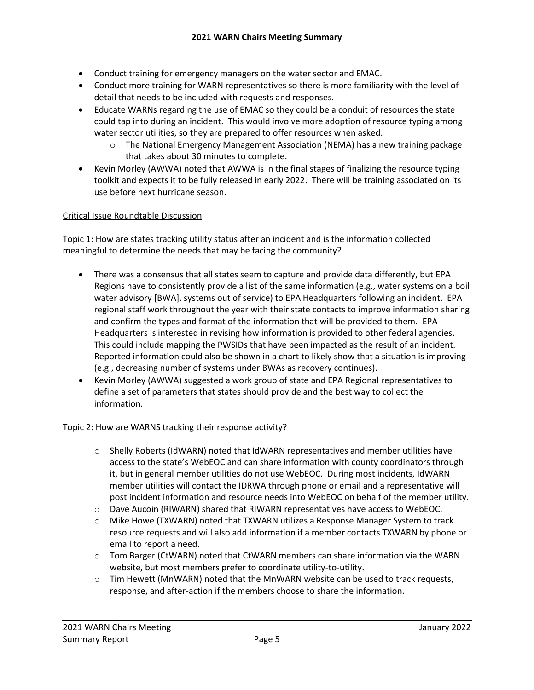- Conduct training for emergency managers on the water sector and EMAC.
- Conduct more training for WARN representatives so there is more familiarity with the level of detail that needs to be included with requests and responses.
- Educate WARNs regarding the use of EMAC so they could be a conduit of resources the state could tap into during an incident. This would involve more adoption of resource typing among water sector utilities, so they are prepared to offer resources when asked.
	- $\circ$  The National Emergency Management Association (NEMA) has a new training package that takes about 30 minutes to complete.
- Kevin Morley (AWWA) noted that AWWA is in the final stages of finalizing the resource typing toolkit and expects it to be fully released in early 2022. There will be training associated on its use before next hurricane season.

## Critical Issue Roundtable Discussion

Topic 1: How are states tracking utility status after an incident and is the information collected meaningful to determine the needs that may be facing the community?

- There was a consensus that all states seem to capture and provide data differently, but EPA Regions have to consistently provide a list of the same information (e.g., water systems on a boil water advisory [BWA], systems out of service) to EPA Headquarters following an incident. EPA regional staff work throughout the year with their state contacts to improve information sharing and confirm the types and format of the information that will be provided to them. EPA Headquarters is interested in revising how information is provided to other federal agencies. This could include mapping the PWSIDs that have been impacted as the result of an incident. Reported information could also be shown in a chart to likely show that a situation is improving (e.g., decreasing number of systems under BWAs as recovery continues).
- Kevin Morley (AWWA) suggested a work group of state and EPA Regional representatives to define a set of parameters that states should provide and the best way to collect the information.

Topic 2: How are WARNS tracking their response activity?

- o Shelly Roberts (IdWARN) noted that IdWARN representatives and member utilities have access to the state's WebEOC and can share information with county coordinators through it, but in general member utilities do not use WebEOC. During most incidents, IdWARN member utilities will contact the IDRWA through phone or email and a representative will post incident information and resource needs into WebEOC on behalf of the member utility.
- o Dave Aucoin (RIWARN) shared that RIWARN representatives have access to WebEOC.
- $\circ$  Mike Howe (TXWARN) noted that TXWARN utilizes a Response Manager System to track resource requests and will also add information if a member contacts TXWARN by phone or email to report a need.
- $\circ$  Tom Barger (CtWARN) noted that CtWARN members can share information via the WARN website, but most members prefer to coordinate utility-to-utility.
- o Tim Hewett (MnWARN) noted that the MnWARN website can be used to track requests, response, and after-action if the members choose to share the information.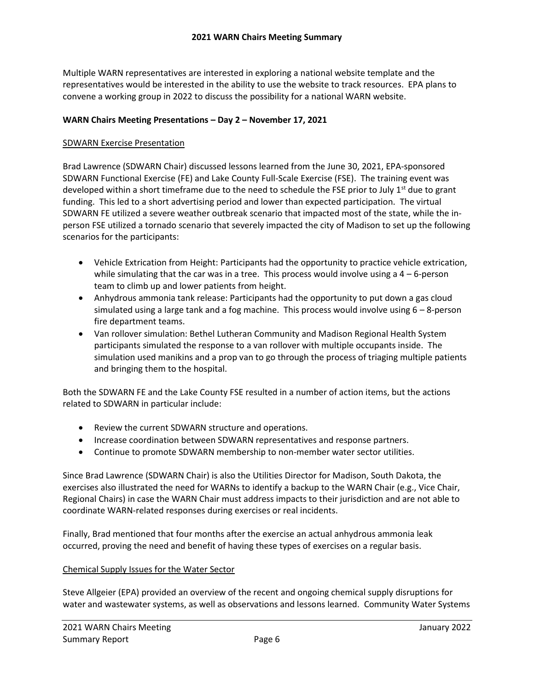Multiple WARN representatives are interested in exploring a national website template and the representatives would be interested in the ability to use the website to track resources. EPA plans to convene a working group in 2022 to discuss the possibility for a national WARN website.

### **WARN Chairs Meeting Presentations – Day 2 – November 17, 2021**

#### SDWARN Exercise Presentation

Brad Lawrence (SDWARN Chair) discussed lessons learned from the June 30, 2021, EPA-sponsored SDWARN Functional Exercise (FE) and Lake County Full-Scale Exercise (FSE). The training event was developed within a short timeframe due to the need to schedule the FSE prior to July  $1^{st}$  due to grant funding. This led to a short advertising period and lower than expected participation. The virtual SDWARN FE utilized a severe weather outbreak scenario that impacted most of the state, while the inperson FSE utilized a tornado scenario that severely impacted the city of Madison to set up the following scenarios for the participants:

- Vehicle Extrication from Height: Participants had the opportunity to practice vehicle extrication, while simulating that the car was in a tree. This process would involve using a  $4 - 6$ -person team to climb up and lower patients from height.
- Anhydrous ammonia tank release: Participants had the opportunity to put down a gas cloud simulated using a large tank and a fog machine. This process would involve using  $6 - 8$ -person fire department teams.
- Van rollover simulation: Bethel Lutheran Community and Madison Regional Health System participants simulated the response to a van rollover with multiple occupants inside. The simulation used manikins and a prop van to go through the process of triaging multiple patients and bringing them to the hospital.

Both the SDWARN FE and the Lake County FSE resulted in a number of action items, but the actions related to SDWARN in particular include:

- Review the current SDWARN structure and operations.
- Increase coordination between SDWARN representatives and response partners.
- Continue to promote SDWARN membership to non-member water sector utilities.

Since Brad Lawrence (SDWARN Chair) is also the Utilities Director for Madison, South Dakota, the exercises also illustrated the need for WARNs to identify a backup to the WARN Chair (e.g., Vice Chair, Regional Chairs) in case the WARN Chair must address impacts to their jurisdiction and are not able to coordinate WARN-related responses during exercises or real incidents.

Finally, Brad mentioned that four months after the exercise an actual anhydrous ammonia leak occurred, proving the need and benefit of having these types of exercises on a regular basis.

#### Chemical Supply Issues for the Water Sector

Steve Allgeier (EPA) provided an overview of the recent and ongoing chemical supply disruptions for water and wastewater systems, as well as observations and lessons learned. Community Water Systems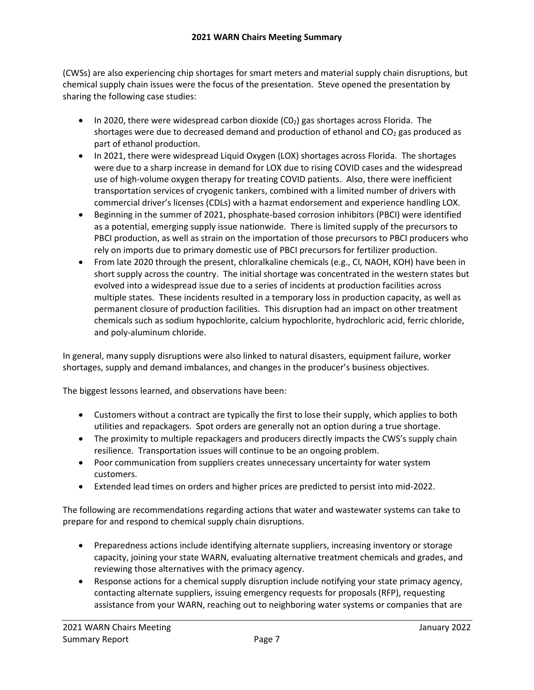(CWSs) are also experiencing chip shortages for smart meters and material supply chain disruptions, but chemical supply chain issues were the focus of the presentation. Steve opened the presentation by sharing the following case studies:

- In 2020, there were widespread carbon dioxide  $(C_0)$  gas shortages across Florida. The shortages were due to decreased demand and production of ethanol and  $CO<sub>2</sub>$  gas produced as part of ethanol production.
- In 2021, there were widespread Liquid Oxygen (LOX) shortages across Florida. The shortages were due to a sharp increase in demand for LOX due to rising COVID cases and the widespread use of high-volume oxygen therapy for treating COVID patients. Also, there were inefficient transportation services of cryogenic tankers, combined with a limited number of drivers with commercial driver's licenses (CDLs) with a hazmat endorsement and experience handling LOX.
- Beginning in the summer of 2021, phosphate-based corrosion inhibitors (PBCI) were identified as a potential, emerging supply issue nationwide. There is limited supply of the precursors to PBCI production, as well as strain on the importation of those precursors to PBCI producers who rely on imports due to primary domestic use of PBCI precursors for fertilizer production.
- From late 2020 through the present, chloralkaline chemicals (e.g., CI, NAOH, KOH) have been in short supply across the country. The initial shortage was concentrated in the western states but evolved into a widespread issue due to a series of incidents at production facilities across multiple states. These incidents resulted in a temporary loss in production capacity, as well as permanent closure of production facilities. This disruption had an impact on other treatment chemicals such as sodium hypochlorite, calcium hypochlorite, hydrochloric acid, ferric chloride, and poly-aluminum chloride.

In general, many supply disruptions were also linked to natural disasters, equipment failure, worker shortages, supply and demand imbalances, and changes in the producer's business objectives.

The biggest lessons learned, and observations have been:

- Customers without a contract are typically the first to lose their supply, which applies to both utilities and repackagers. Spot orders are generally not an option during a true shortage.
- The proximity to multiple repackagers and producers directly impacts the CWS's supply chain resilience. Transportation issues will continue to be an ongoing problem.
- Poor communication from suppliers creates unnecessary uncertainty for water system customers.
- Extended lead times on orders and higher prices are predicted to persist into mid-2022.

The following are recommendations regarding actions that water and wastewater systems can take to prepare for and respond to chemical supply chain disruptions.

- Preparedness actions include identifying alternate suppliers, increasing inventory or storage capacity, joining your state WARN, evaluating alternative treatment chemicals and grades, and reviewing those alternatives with the primacy agency.
- Response actions for a chemical supply disruption include notifying your state primacy agency, contacting alternate suppliers, issuing emergency requests for proposals (RFP), requesting assistance from your WARN, reaching out to neighboring water systems or companies that are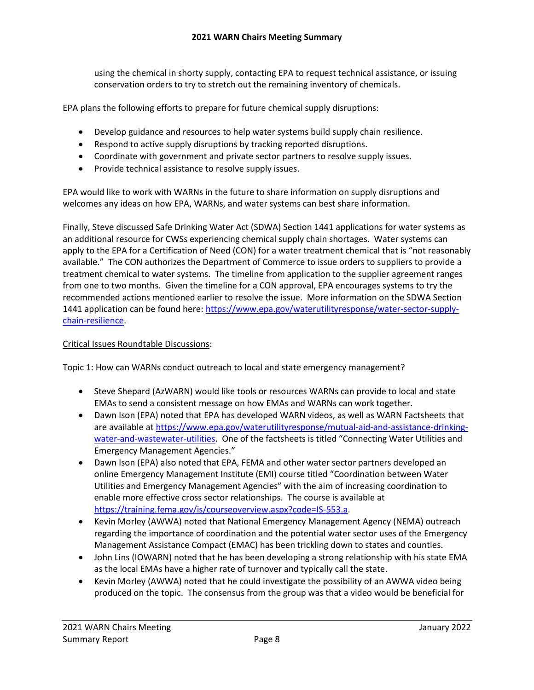using the chemical in shorty supply, contacting EPA to request technical assistance, or issuing conservation orders to try to stretch out the remaining inventory of chemicals.

EPA plans the following efforts to prepare for future chemical supply disruptions:

- Develop guidance and resources to help water systems build supply chain resilience.
- Respond to active supply disruptions by tracking reported disruptions.
- Coordinate with government and private sector partners to resolve supply issues.
- Provide technical assistance to resolve supply issues.

EPA would like to work with WARNs in the future to share information on supply disruptions and welcomes any ideas on how EPA, WARNs, and water systems can best share information.

Finally, Steve discussed Safe Drinking Water Act (SDWA) Section 1441 applications for water systems as an additional resource for CWSs experiencing chemical supply chain shortages. Water systems can apply to the EPA for a Certification of Need (CON) for a water treatment chemical that is "not reasonably available." The CON authorizes the Department of Commerce to issue orders to suppliers to provide a treatment chemical to water systems. The timeline from application to the supplier agreement ranges from one to two months. Given the timeline for a CON approval, EPA encourages systems to try the recommended actions mentioned earlier to resolve the issue. More information on the SDWA Section 1441 application can be found here: [https://www.epa.gov/waterutilityresponse/water-sector-supply](https://www.epa.gov/waterutilityresponse/water-sector-supply-chain-resilience)[chain-resilience.](https://www.epa.gov/waterutilityresponse/water-sector-supply-chain-resilience)

#### Critical Issues Roundtable Discussions:

Topic 1: How can WARNs conduct outreach to local and state emergency management?

- Steve Shepard (AzWARN) would like tools or resources WARNs can provide to local and state EMAs to send a consistent message on how EMAs and WARNs can work together.
- Dawn Ison (EPA) noted that EPA has developed WARN videos, as well as WARN Factsheets that are available a[t https://www.epa.gov/waterutilityresponse/mutual-aid-and-assistance-drinking](https://www.epa.gov/waterutilityresponse/mutual-aid-and-assistance-drinking-water-and-wastewater-utilities)[water-and-wastewater-utilities.](https://www.epa.gov/waterutilityresponse/mutual-aid-and-assistance-drinking-water-and-wastewater-utilities) One of the factsheets is titled "Connecting Water Utilities and Emergency Management Agencies."
- Dawn Ison (EPA) also noted that EPA, FEMA and other water sector partners developed an online Emergency Management Institute (EMI) course titled "Coordination between Water Utilities and Emergency Management Agencies" with the aim of increasing coordination to enable more effective cross sector relationships. The course is available at [https://training.fema.gov/is/courseoverview.aspx?code=IS-553.a.](https://training.fema.gov/is/courseoverview.aspx?code=IS-553.a)
- Kevin Morley (AWWA) noted that National Emergency Management Agency (NEMA) outreach regarding the importance of coordination and the potential water sector uses of the Emergency Management Assistance Compact (EMAC) has been trickling down to states and counties.
- John Lins (IOWARN) noted that he has been developing a strong relationship with his state EMA as the local EMAs have a higher rate of turnover and typically call the state.
- Kevin Morley (AWWA) noted that he could investigate the possibility of an AWWA video being produced on the topic. The consensus from the group was that a video would be beneficial for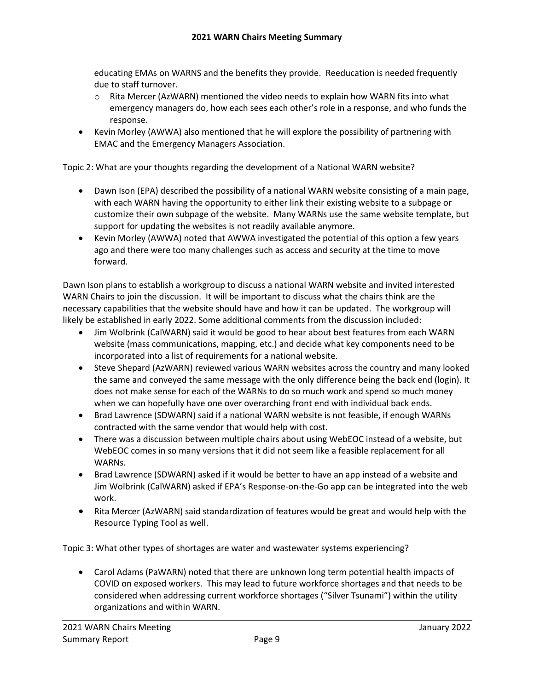educating EMAs on WARNS and the benefits they provide. Reeducation is needed frequently due to staff turnover.

- $\circ$  Rita Mercer (AzWARN) mentioned the video needs to explain how WARN fits into what emergency managers do, how each sees each other's role in a response, and who funds the response.
- Kevin Morley (AWWA) also mentioned that he will explore the possibility of partnering with EMAC and the Emergency Managers Association.

Topic 2: What are your thoughts regarding the development of a National WARN website?

- Dawn Ison (EPA) described the possibility of a national WARN website consisting of a main page, with each WARN having the opportunity to either link their existing website to a subpage or customize their own subpage of the website. Many WARNs use the same website template, but support for updating the websites is not readily available anymore.
- Kevin Morley (AWWA) noted that AWWA investigated the potential of this option a few years ago and there were too many challenges such as access and security at the time to move forward.

Dawn Ison plans to establish a workgroup to discuss a national WARN website and invited interested WARN Chairs to join the discussion. It will be important to discuss what the chairs think are the necessary capabilities that the website should have and how it can be updated. The workgroup will likely be established in early 2022. Some additional comments from the discussion included:

- Jim Wolbrink (CalWARN) said it would be good to hear about best features from each WARN website (mass communications, mapping, etc.) and decide what key components need to be incorporated into a list of requirements for a national website.
- Steve Shepard (AzWARN) reviewed various WARN websites across the country and many looked the same and conveyed the same message with the only difference being the back end (login). It does not make sense for each of the WARNs to do so much work and spend so much money when we can hopefully have one over overarching front end with individual back ends.
- Brad Lawrence (SDWARN) said if a national WARN website is not feasible, if enough WARNs contracted with the same vendor that would help with cost.
- There was a discussion between multiple chairs about using WebEOC instead of a website, but WebEOC comes in so many versions that it did not seem like a feasible replacement for all WARNs.
- Brad Lawrence (SDWARN) asked if it would be better to have an app instead of a website and Jim Wolbrink (CalWARN) asked if EPA's Response-on-the-Go app can be integrated into the web work.
- Rita Mercer (AzWARN) said standardization of features would be great and would help with the Resource Typing Tool as well.

Topic 3: What other types of shortages are water and wastewater systems experiencing?

• Carol Adams (PaWARN) noted that there are unknown long term potential health impacts of COVID on exposed workers. This may lead to future workforce shortages and that needs to be considered when addressing current workforce shortages ("Silver Tsunami") within the utility organizations and within WARN.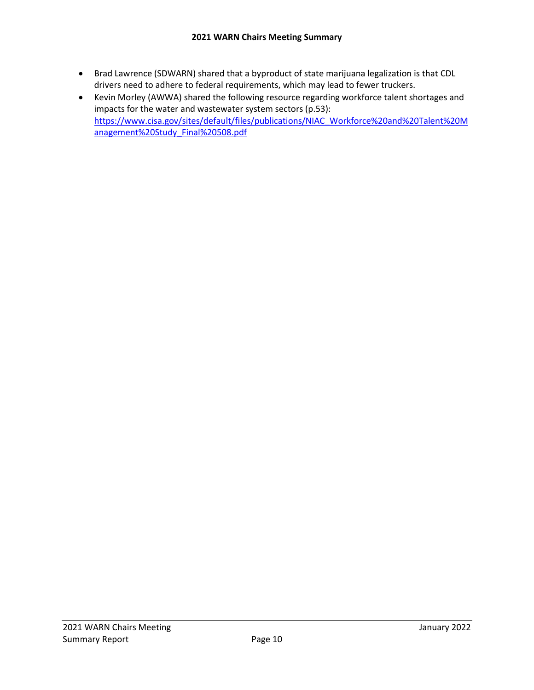- Brad Lawrence (SDWARN) shared that a byproduct of state marijuana legalization is that CDL drivers need to adhere to federal requirements, which may lead to fewer truckers.
- Kevin Morley (AWWA) shared the following resource regarding workforce talent shortages and impacts for the water and wastewater system sectors (p.53): [https://www.cisa.gov/sites/default/files/publications/NIAC\\_Workforce%20and%20Talent%20M](https://www.cisa.gov/sites/default/files/publications/NIAC_Workforce%20and%20Talent%20Management%20Study_Final%20508.pdf) [anagement%20Study\\_Final%20508.pdf](https://www.cisa.gov/sites/default/files/publications/NIAC_Workforce%20and%20Talent%20Management%20Study_Final%20508.pdf)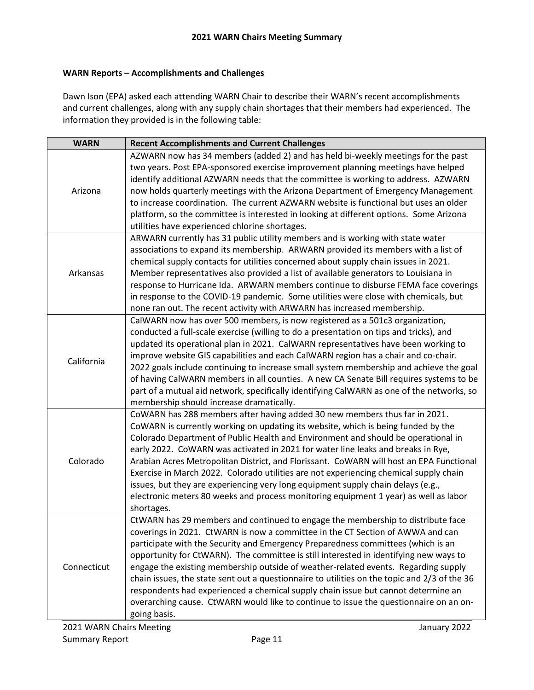### **WARN Reports – Accomplishments and Challenges**

Dawn Ison (EPA) asked each attending WARN Chair to describe their WARN's recent accomplishments and current challenges, along with any supply chain shortages that their members had experienced. The information they provided is in the following table:

| <b>WARN</b> | <b>Recent Accomplishments and Current Challenges</b>                                         |
|-------------|----------------------------------------------------------------------------------------------|
|             | AZWARN now has 34 members (added 2) and has held bi-weekly meetings for the past             |
|             | two years. Post EPA-sponsored exercise improvement planning meetings have helped             |
|             | identify additional AZWARN needs that the committee is working to address. AZWARN            |
| Arizona     | now holds quarterly meetings with the Arizona Department of Emergency Management             |
|             | to increase coordination. The current AZWARN website is functional but uses an older         |
|             | platform, so the committee is interested in looking at different options. Some Arizona       |
|             | utilities have experienced chlorine shortages.                                               |
|             | ARWARN currently has 31 public utility members and is working with state water               |
|             | associations to expand its membership. ARWARN provided its members with a list of            |
|             | chemical supply contacts for utilities concerned about supply chain issues in 2021.          |
| Arkansas    | Member representatives also provided a list of available generators to Louisiana in          |
|             | response to Hurricane Ida. ARWARN members continue to disburse FEMA face coverings           |
|             | in response to the COVID-19 pandemic. Some utilities were close with chemicals, but          |
|             | none ran out. The recent activity with ARWARN has increased membership.                      |
|             | CalWARN now has over 500 members, is now registered as a 501c3 organization,                 |
|             | conducted a full-scale exercise (willing to do a presentation on tips and tricks), and       |
|             | updated its operational plan in 2021. CalWARN representatives have been working to           |
| California  | improve website GIS capabilities and each CalWARN region has a chair and co-chair.           |
|             | 2022 goals include continuing to increase small system membership and achieve the goal       |
|             | of having CalWARN members in all counties. A new CA Senate Bill requires systems to be       |
|             | part of a mutual aid network, specifically identifying CalWARN as one of the networks, so    |
|             | membership should increase dramatically.                                                     |
|             | CoWARN has 288 members after having added 30 new members thus far in 2021.                   |
|             | CoWARN is currently working on updating its website, which is being funded by the            |
|             | Colorado Department of Public Health and Environment and should be operational in            |
|             | early 2022. CoWARN was activated in 2021 for water line leaks and breaks in Rye,             |
| Colorado    | Arabian Acres Metropolitan District, and Florissant. CoWARN will host an EPA Functional      |
|             | Exercise in March 2022. Colorado utilities are not experiencing chemical supply chain        |
|             | issues, but they are experiencing very long equipment supply chain delays (e.g.,             |
|             | electronic meters 80 weeks and process monitoring equipment 1 year) as well as labor         |
|             | shortages.                                                                                   |
|             | CtWARN has 29 members and continued to engage the membership to distribute face              |
|             | coverings in 2021. CtWARN is now a committee in the CT Section of AWWA and can               |
|             | participate with the Security and Emergency Preparedness committees (which is an             |
| Connecticut | opportunity for CtWARN). The committee is still interested in identifying new ways to        |
|             | engage the existing membership outside of weather-related events. Regarding supply           |
|             | chain issues, the state sent out a questionnaire to utilities on the topic and 2/3 of the 36 |
|             | respondents had experienced a chemical supply chain issue but cannot determine an            |
|             | overarching cause. CtWARN would like to continue to issue the questionnaire on an on-        |
|             | going basis.                                                                                 |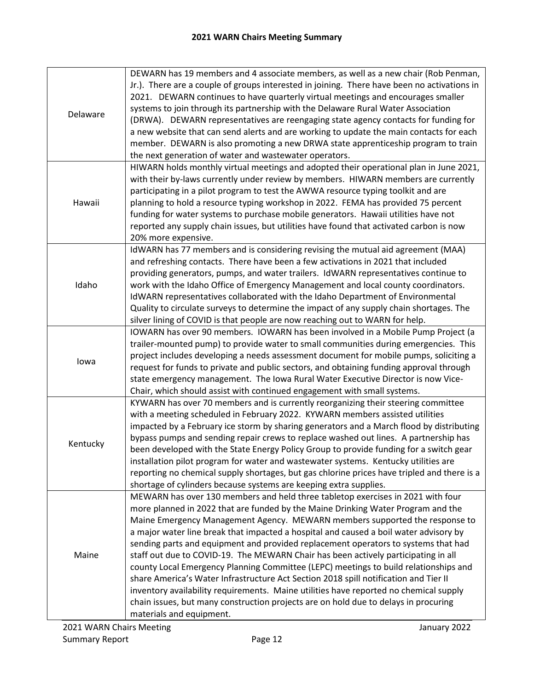| Delaware | DEWARN has 19 members and 4 associate members, as well as a new chair (Rob Penman,<br>Jr.). There are a couple of groups interested in joining. There have been no activations in<br>2021. DEWARN continues to have quarterly virtual meetings and encourages smaller<br>systems to join through its partnership with the Delaware Rural Water Association<br>(DRWA). DEWARN representatives are reengaging state agency contacts for funding for<br>a new website that can send alerts and are working to update the main contacts for each<br>member. DEWARN is also promoting a new DRWA state apprenticeship program to train<br>the next generation of water and wastewater operators.                                                                                                                                                                                                                         |  |
|----------|---------------------------------------------------------------------------------------------------------------------------------------------------------------------------------------------------------------------------------------------------------------------------------------------------------------------------------------------------------------------------------------------------------------------------------------------------------------------------------------------------------------------------------------------------------------------------------------------------------------------------------------------------------------------------------------------------------------------------------------------------------------------------------------------------------------------------------------------------------------------------------------------------------------------|--|
| Hawaii   | HIWARN holds monthly virtual meetings and adopted their operational plan in June 2021,<br>with their by-laws currently under review by members. HIWARN members are currently<br>participating in a pilot program to test the AWWA resource typing toolkit and are<br>planning to hold a resource typing workshop in 2022. FEMA has provided 75 percent<br>funding for water systems to purchase mobile generators. Hawaii utilities have not<br>reported any supply chain issues, but utilities have found that activated carbon is now<br>20% more expensive.                                                                                                                                                                                                                                                                                                                                                      |  |
| Idaho    | IdWARN has 77 members and is considering revising the mutual aid agreement (MAA)<br>and refreshing contacts. There have been a few activations in 2021 that included<br>providing generators, pumps, and water trailers. IdWARN representatives continue to<br>work with the Idaho Office of Emergency Management and local county coordinators.<br>IdWARN representatives collaborated with the Idaho Department of Environmental<br>Quality to circulate surveys to determine the impact of any supply chain shortages. The<br>silver lining of COVID is that people are now reaching out to WARN for help.                                                                                                                                                                                                                                                                                                       |  |
| lowa     | IOWARN has over 90 members. IOWARN has been involved in a Mobile Pump Project (a<br>trailer-mounted pump) to provide water to small communities during emergencies. This<br>project includes developing a needs assessment document for mobile pumps, soliciting a<br>request for funds to private and public sectors, and obtaining funding approval through<br>state emergency management. The Iowa Rural Water Executive Director is now Vice-<br>Chair, which should assist with continued engagement with small systems.                                                                                                                                                                                                                                                                                                                                                                                       |  |
| Kentucky | KYWARN has over 70 members and is currently reorganizing their steering committee<br>with a meeting scheduled in February 2022. KYWARN members assisted utilities<br>impacted by a February ice storm by sharing generators and a March flood by distributing<br>bypass pumps and sending repair crews to replace washed out lines. A partnership has<br>been developed with the State Energy Policy Group to provide funding for a switch gear<br>installation pilot program for water and wastewater systems. Kentucky utilities are<br>reporting no chemical supply shortages, but gas chlorine prices have tripled and there is a<br>shortage of cylinders because systems are keeping extra supplies.                                                                                                                                                                                                          |  |
| Maine    | MEWARN has over 130 members and held three tabletop exercises in 2021 with four<br>more planned in 2022 that are funded by the Maine Drinking Water Program and the<br>Maine Emergency Management Agency. MEWARN members supported the response to<br>a major water line break that impacted a hospital and caused a boil water advisory by<br>sending parts and equipment and provided replacement operators to systems that had<br>staff out due to COVID-19. The MEWARN Chair has been actively participating in all<br>county Local Emergency Planning Committee (LEPC) meetings to build relationships and<br>share America's Water Infrastructure Act Section 2018 spill notification and Tier II<br>inventory availability requirements. Maine utilities have reported no chemical supply<br>chain issues, but many construction projects are on hold due to delays in procuring<br>materials and equipment. |  |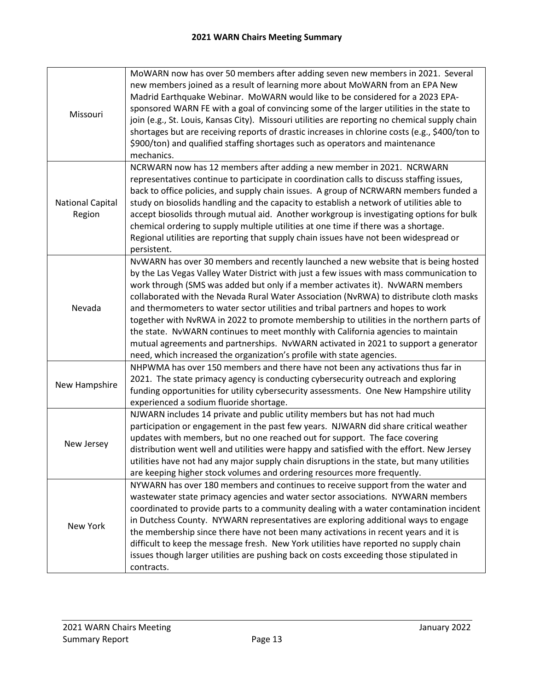| Missouri                          | MoWARN now has over 50 members after adding seven new members in 2021. Several<br>new members joined as a result of learning more about MoWARN from an EPA New<br>Madrid Earthquake Webinar. MoWARN would like to be considered for a 2023 EPA-<br>sponsored WARN FE with a goal of convincing some of the larger utilities in the state to<br>join (e.g., St. Louis, Kansas City). Missouri utilities are reporting no chemical supply chain<br>shortages but are receiving reports of drastic increases in chlorine costs (e.g., \$400/ton to<br>\$900/ton) and qualified staffing shortages such as operators and maintenance<br>mechanics.                                                                                                                                                 |  |
|-----------------------------------|------------------------------------------------------------------------------------------------------------------------------------------------------------------------------------------------------------------------------------------------------------------------------------------------------------------------------------------------------------------------------------------------------------------------------------------------------------------------------------------------------------------------------------------------------------------------------------------------------------------------------------------------------------------------------------------------------------------------------------------------------------------------------------------------|--|
| <b>National Capital</b><br>Region | NCRWARN now has 12 members after adding a new member in 2021. NCRWARN<br>representatives continue to participate in coordination calls to discuss staffing issues,<br>back to office policies, and supply chain issues. A group of NCRWARN members funded a<br>study on biosolids handling and the capacity to establish a network of utilities able to<br>accept biosolids through mutual aid. Another workgroup is investigating options for bulk<br>chemical ordering to supply multiple utilities at one time if there was a shortage.<br>Regional utilities are reporting that supply chain issues have not been widespread or<br>persistent.                                                                                                                                             |  |
| Nevada                            | NvWARN has over 30 members and recently launched a new website that is being hosted<br>by the Las Vegas Valley Water District with just a few issues with mass communication to<br>work through (SMS was added but only if a member activates it). NvWARN members<br>collaborated with the Nevada Rural Water Association (NvRWA) to distribute cloth masks<br>and thermometers to water sector utilities and tribal partners and hopes to work<br>together with NvRWA in 2022 to promote membership to utilities in the northern parts of<br>the state. NvWARN continues to meet monthly with California agencies to maintain<br>mutual agreements and partnerships. NvWARN activated in 2021 to support a generator<br>need, which increased the organization's profile with state agencies. |  |
| New Hampshire                     | NHPWMA has over 150 members and there have not been any activations thus far in<br>2021. The state primacy agency is conducting cybersecurity outreach and exploring<br>funding opportunities for utility cybersecurity assessments. One New Hampshire utility<br>experienced a sodium fluoride shortage.                                                                                                                                                                                                                                                                                                                                                                                                                                                                                      |  |
| New Jersey                        | NJWARN includes 14 private and public utility members but has not had much<br>participation or engagement in the past few years. NJWARN did share critical weather<br>updates with members, but no one reached out for support. The face covering<br>distribution went well and utilities were happy and satisfied with the effort. New Jersey<br>utilities have not had any major supply chain disruptions in the state, but many utilities<br>are keeping higher stock volumes and ordering resources more frequently.                                                                                                                                                                                                                                                                       |  |
| New York                          | NYWARN has over 180 members and continues to receive support from the water and<br>wastewater state primacy agencies and water sector associations. NYWARN members<br>coordinated to provide parts to a community dealing with a water contamination incident<br>in Dutchess County. NYWARN representatives are exploring additional ways to engage<br>the membership since there have not been many activations in recent years and it is<br>difficult to keep the message fresh. New York utilities have reported no supply chain<br>issues though larger utilities are pushing back on costs exceeding those stipulated in<br>contracts.                                                                                                                                                    |  |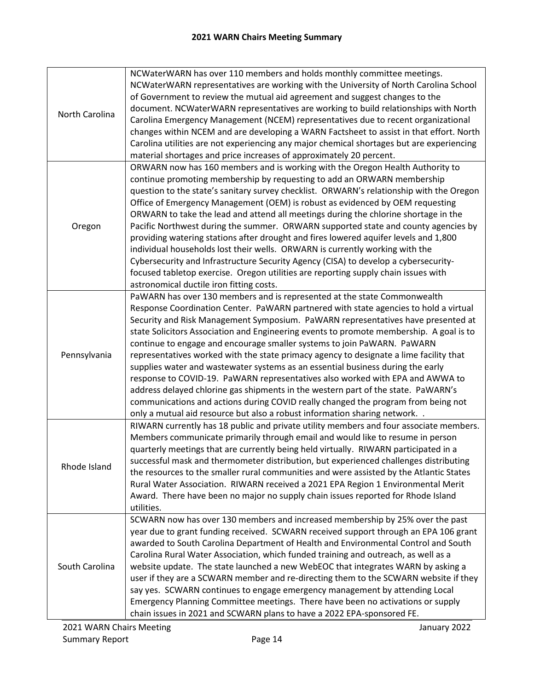| North Carolina | NCWaterWARN has over 110 members and holds monthly committee meetings.<br>NCWaterWARN representatives are working with the University of North Carolina School<br>of Government to review the mutual aid agreement and suggest changes to the<br>document. NCWaterWARN representatives are working to build relationships with North<br>Carolina Emergency Management (NCEM) representatives due to recent organizational<br>changes within NCEM and are developing a WARN Factsheet to assist in that effort. North<br>Carolina utilities are not experiencing any major chemical shortages but are experiencing<br>material shortages and price increases of approximately 20 percent.                                                                                                                                                                                                                                                          |
|----------------|---------------------------------------------------------------------------------------------------------------------------------------------------------------------------------------------------------------------------------------------------------------------------------------------------------------------------------------------------------------------------------------------------------------------------------------------------------------------------------------------------------------------------------------------------------------------------------------------------------------------------------------------------------------------------------------------------------------------------------------------------------------------------------------------------------------------------------------------------------------------------------------------------------------------------------------------------|
| Oregon         | ORWARN now has 160 members and is working with the Oregon Health Authority to<br>continue promoting membership by requesting to add an ORWARN membership<br>question to the state's sanitary survey checklist. ORWARN's relationship with the Oregon<br>Office of Emergency Management (OEM) is robust as evidenced by OEM requesting<br>ORWARN to take the lead and attend all meetings during the chlorine shortage in the<br>Pacific Northwest during the summer. ORWARN supported state and county agencies by<br>providing watering stations after drought and fires lowered aquifer levels and 1,800<br>individual households lost their wells. ORWARN is currently working with the<br>Cybersecurity and Infrastructure Security Agency (CISA) to develop a cybersecurity-<br>focused tabletop exercise. Oregon utilities are reporting supply chain issues with<br>astronomical ductile iron fitting costs.                               |
| Pennsylvania   | PaWARN has over 130 members and is represented at the state Commonwealth<br>Response Coordination Center. PaWARN partnered with state agencies to hold a virtual<br>Security and Risk Management Symposium. PaWARN representatives have presented at<br>state Solicitors Association and Engineering events to promote membership. A goal is to<br>continue to engage and encourage smaller systems to join PaWARN. PaWARN<br>representatives worked with the state primacy agency to designate a lime facility that<br>supplies water and wastewater systems as an essential business during the early<br>response to COVID-19. PaWARN representatives also worked with EPA and AWWA to<br>address delayed chlorine gas shipments in the western part of the state. PaWARN's<br>communications and actions during COVID really changed the program from being not<br>only a mutual aid resource but also a robust information sharing network. . |
| Rhode Island   | RIWARN currently has 18 public and private utility members and four associate members.<br>Members communicate primarily through email and would like to resume in person<br>quarterly meetings that are currently being held virtually. RIWARN participated in a<br>successful mask and thermometer distribution, but experienced challenges distributing<br>the resources to the smaller rural communities and were assisted by the Atlantic States<br>Rural Water Association. RIWARN received a 2021 EPA Region 1 Environmental Merit<br>Award. There have been no major no supply chain issues reported for Rhode Island<br>utilities.                                                                                                                                                                                                                                                                                                        |
| South Carolina | SCWARN now has over 130 members and increased membership by 25% over the past<br>year due to grant funding received. SCWARN received support through an EPA 106 grant<br>awarded to South Carolina Department of Health and Environmental Control and South<br>Carolina Rural Water Association, which funded training and outreach, as well as a<br>website update. The state launched a new WebEOC that integrates WARN by asking a<br>user if they are a SCWARN member and re-directing them to the SCWARN website if they<br>say yes. SCWARN continues to engage emergency management by attending Local<br>Emergency Planning Committee meetings. There have been no activations or supply<br>chain issues in 2021 and SCWARN plans to have a 2022 EPA-sponsored FE.                                                                                                                                                                         |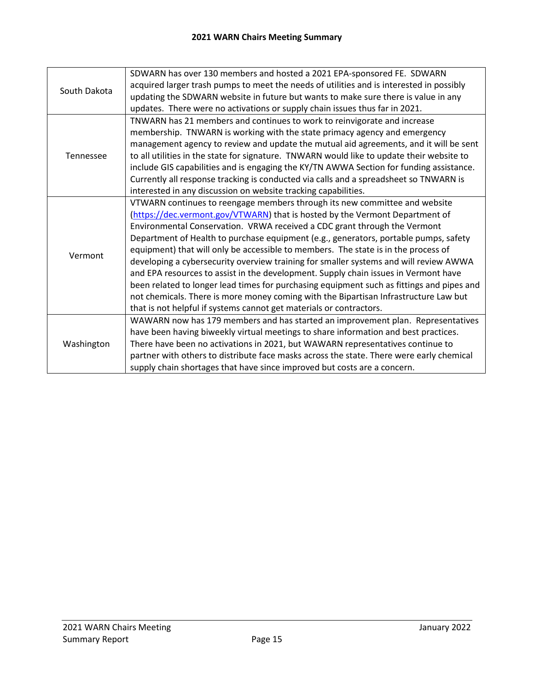| South Dakota | SDWARN has over 130 members and hosted a 2021 EPA-sponsored FE. SDWARN                    |
|--------------|-------------------------------------------------------------------------------------------|
|              | acquired larger trash pumps to meet the needs of utilities and is interested in possibly  |
|              | updating the SDWARN website in future but wants to make sure there is value in any        |
|              | updates. There were no activations or supply chain issues thus far in 2021.               |
|              | TNWARN has 21 members and continues to work to reinvigorate and increase                  |
|              | membership. TNWARN is working with the state primacy agency and emergency                 |
|              | management agency to review and update the mutual aid agreements, and it will be sent     |
| Tennessee    | to all utilities in the state for signature. TNWARN would like to update their website to |
|              | include GIS capabilities and is engaging the KY/TN AWWA Section for funding assistance.   |
|              | Currently all response tracking is conducted via calls and a spreadsheet so TNWARN is     |
|              | interested in any discussion on website tracking capabilities.                            |
|              | VTWARN continues to reengage members through its new committee and website                |
|              | (https://dec.vermont.gov/VTWARN) that is hosted by the Vermont Department of              |
|              | Environmental Conservation. VRWA received a CDC grant through the Vermont                 |
|              | Department of Health to purchase equipment (e.g., generators, portable pumps, safety      |
| Vermont      | equipment) that will only be accessible to members. The state is in the process of        |
|              | developing a cybersecurity overview training for smaller systems and will review AWWA     |
|              | and EPA resources to assist in the development. Supply chain issues in Vermont have       |
|              | been related to longer lead times for purchasing equipment such as fittings and pipes and |
|              | not chemicals. There is more money coming with the Bipartisan Infrastructure Law but      |
|              | that is not helpful if systems cannot get materials or contractors.                       |
|              | WAWARN now has 179 members and has started an improvement plan. Representatives           |
|              | have been having biweekly virtual meetings to share information and best practices.       |
| Washington   | There have been no activations in 2021, but WAWARN representatives continue to            |
|              | partner with others to distribute face masks across the state. There were early chemical  |
|              | supply chain shortages that have since improved but costs are a concern.                  |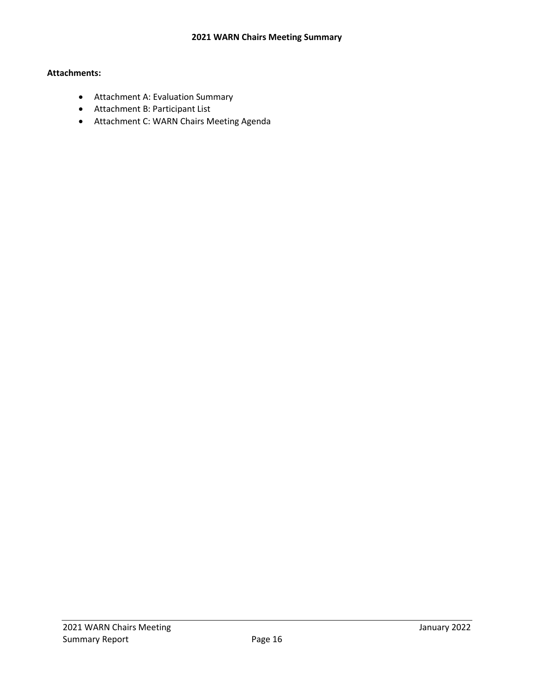## **Attachments:**

- Attachment A: Evaluation Summary
- Attachment B: Participant List
- Attachment C: WARN Chairs Meeting Agenda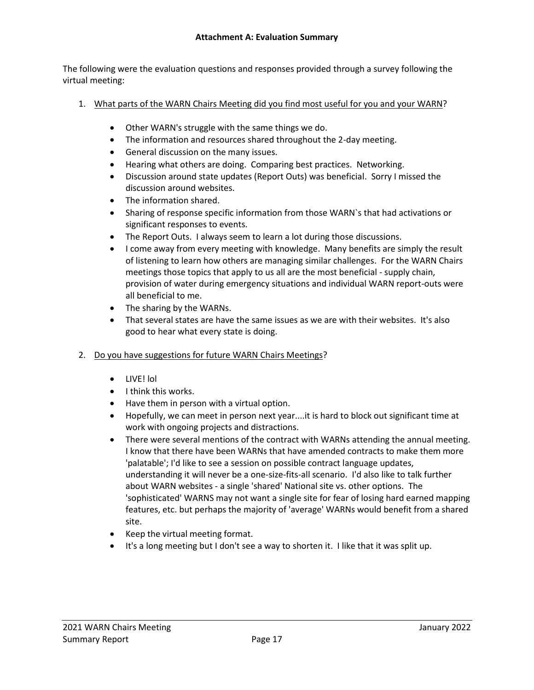The following were the evaluation questions and responses provided through a survey following the virtual meeting:

- 1. What parts of the WARN Chairs Meeting did you find most useful for you and your WARN?
	- Other WARN's struggle with the same things we do.
	- The information and resources shared throughout the 2-day meeting.
	- General discussion on the many issues.
	- Hearing what others are doing. Comparing best practices. Networking.
	- Discussion around state updates (Report Outs) was beneficial. Sorry I missed the discussion around websites.
	- The information shared.
	- Sharing of response specific information from those WARN`s that had activations or significant responses to events.
	- The Report Outs. I always seem to learn a lot during those discussions.
	- I come away from every meeting with knowledge. Many benefits are simply the result of listening to learn how others are managing similar challenges. For the WARN Chairs meetings those topics that apply to us all are the most beneficial - supply chain, provision of water during emergency situations and individual WARN report-outs were all beneficial to me.
	- The sharing by the WARNs.
	- That several states are have the same issues as we are with their websites. It's also good to hear what every state is doing.
- 2. Do you have suggestions for future WARN Chairs Meetings?
	- LIVE! lol
	- I think this works.
	- Have them in person with a virtual option.
	- Hopefully, we can meet in person next year....it is hard to block out significant time at work with ongoing projects and distractions.
	- There were several mentions of the contract with WARNs attending the annual meeting. I know that there have been WARNs that have amended contracts to make them more 'palatable'; I'd like to see a session on possible contract language updates, understanding it will never be a one-size-fits-all scenario. I'd also like to talk further about WARN websites - a single 'shared' National site vs. other options. The 'sophisticated' WARNS may not want a single site for fear of losing hard earned mapping features, etc. but perhaps the majority of 'average' WARNs would benefit from a shared site.
	- Keep the virtual meeting format.
	- It's a long meeting but I don't see a way to shorten it. I like that it was split up.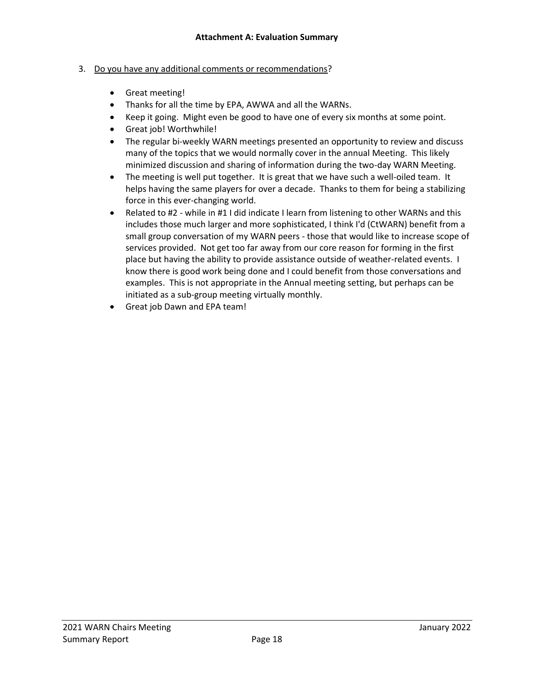### 3. Do you have any additional comments or recommendations?

- Great meeting!
- Thanks for all the time by EPA, AWWA and all the WARNs.
- Keep it going. Might even be good to have one of every six months at some point.
- Great job! Worthwhile!
- The regular bi-weekly WARN meetings presented an opportunity to review and discuss many of the topics that we would normally cover in the annual Meeting. This likely minimized discussion and sharing of information during the two-day WARN Meeting.
- The meeting is well put together. It is great that we have such a well-oiled team. It helps having the same players for over a decade. Thanks to them for being a stabilizing force in this ever-changing world.
- Related to #2 while in #1 I did indicate I learn from listening to other WARNs and this includes those much larger and more sophisticated, I think I'd (CtWARN) benefit from a small group conversation of my WARN peers - those that would like to increase scope of services provided. Not get too far away from our core reason for forming in the first place but having the ability to provide assistance outside of weather-related events. I know there is good work being done and I could benefit from those conversations and examples. This is not appropriate in the Annual meeting setting, but perhaps can be initiated as a sub-group meeting virtually monthly.
- Great job Dawn and EPA team!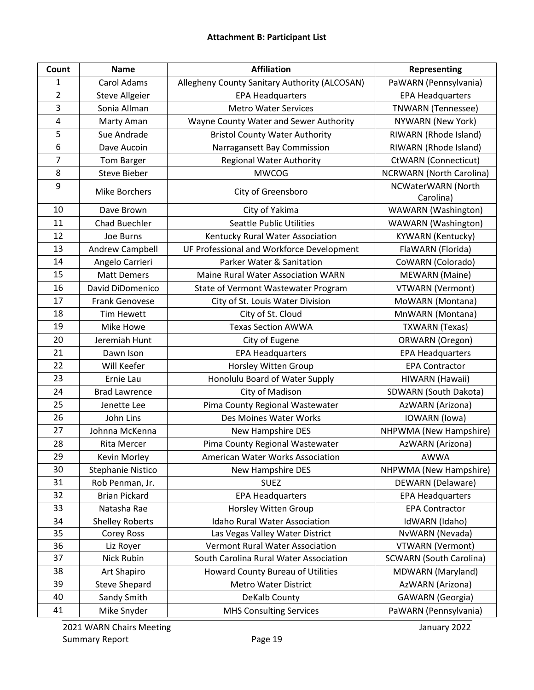| Count          | <b>Name</b>            | <b>Affiliation</b>                            | Representing                    |
|----------------|------------------------|-----------------------------------------------|---------------------------------|
| $\mathbf 1$    | Carol Adams            | Allegheny County Sanitary Authority (ALCOSAN) | PaWARN (Pennsylvania)           |
| $\overline{2}$ | <b>Steve Allgeier</b>  | <b>EPA Headquarters</b>                       | <b>EPA Headquarters</b>         |
| 3              | Sonia Allman           | <b>Metro Water Services</b>                   | <b>TNWARN</b> (Tennessee)       |
| 4              | Marty Aman             | Wayne County Water and Sewer Authority        | NYWARN (New York)               |
| 5              | Sue Andrade            | <b>Bristol County Water Authority</b>         | RIWARN (Rhode Island)           |
| 6              | Dave Aucoin            | Narragansett Bay Commission                   | RIWARN (Rhode Island)           |
| 7              | <b>Tom Barger</b>      | <b>Regional Water Authority</b>               | <b>CtWARN</b> (Connecticut)     |
| 8              | <b>Steve Bieber</b>    | <b>MWCOG</b>                                  | <b>NCRWARN</b> (North Carolina) |
| 9              | <b>Mike Borchers</b>   | City of Greensboro                            | NCWaterWARN (North<br>Carolina) |
| 10             | Dave Brown             | City of Yakima                                | WAWARN (Washington)             |
| 11             | <b>Chad Buechler</b>   | <b>Seattle Public Utilities</b>               | WAWARN (Washington)             |
| 12             | Joe Burns              | Kentucky Rural Water Association              | <b>KYWARN</b> (Kentucky)        |
| 13             | Andrew Campbell        | UF Professional and Workforce Development     | FlaWARN (Florida)               |
| 14             | Angelo Carrieri        | Parker Water & Sanitation                     | CoWARN (Colorado)               |
| 15             | <b>Matt Demers</b>     | <b>Maine Rural Water Association WARN</b>     | <b>MEWARN</b> (Maine)           |
| 16             | David DiDomenico       | State of Vermont Wastewater Program           | <b>VTWARN</b> (Vermont)         |
| 17             | <b>Frank Genovese</b>  | City of St. Louis Water Division              | MoWARN (Montana)                |
| 18             | <b>Tim Hewett</b>      | City of St. Cloud                             | MnWARN (Montana)                |
| 19             | Mike Howe              | <b>Texas Section AWWA</b>                     | <b>TXWARN</b> (Texas)           |
| 20             | Jeremiah Hunt          | City of Eugene                                | ORWARN (Oregon)                 |
| 21             | Dawn Ison              | <b>EPA Headquarters</b>                       | <b>EPA Headquarters</b>         |
| 22             | Will Keefer            | Horsley Witten Group                          | <b>EPA Contractor</b>           |
| 23             | Ernie Lau              | Honolulu Board of Water Supply                | HIWARN (Hawaii)                 |
| 24             | <b>Brad Lawrence</b>   | City of Madison                               | SDWARN (South Dakota)           |
| 25             | Jenette Lee            | Pima County Regional Wastewater               | AzWARN (Arizona)                |
| 26             | John Lins              | Des Moines Water Works                        | IOWARN (lowa)                   |
| 27             | Johnna McKenna         | New Hampshire DES                             | NHPWMA (New Hampshire)          |
| 28             | <b>Rita Mercer</b>     | Pima County Regional Wastewater               | AzWARN (Arizona)                |
| 29             | Kevin Morley           | American Water Works Association              | <b>AWWA</b>                     |
| 30             | Stephanie Nistico      | New Hampshire DES                             | NHPWMA (New Hampshire)          |
| 31             | Rob Penman, Jr.        | <b>SUEZ</b>                                   | <b>DEWARN</b> (Delaware)        |
| 32             | <b>Brian Pickard</b>   | <b>EPA Headquarters</b>                       | <b>EPA Headquarters</b>         |
| 33             | Natasha Rae            | Horsley Witten Group                          | <b>EPA Contractor</b>           |
| 34             | <b>Shelley Roberts</b> | <b>Idaho Rural Water Association</b>          | IdWARN (Idaho)                  |
| 35             | Corey Ross             | Las Vegas Valley Water District               | NvWARN (Nevada)                 |
| 36             | Liz Royer              | Vermont Rural Water Association               | <b>VTWARN</b> (Vermont)         |
| 37             | Nick Rubin             | South Carolina Rural Water Association        | <b>SCWARN (South Carolina)</b>  |
| 38             | Art Shapiro            | Howard County Bureau of Utilities             | MDWARN (Maryland)               |
| 39             | <b>Steve Shepard</b>   | <b>Metro Water District</b>                   | AzWARN (Arizona)                |
| 40             | Sandy Smith            | DeKalb County                                 | <b>GAWARN</b> (Georgia)         |
| 41             | Mike Snyder            | <b>MHS Consulting Services</b>                | PaWARN (Pennsylvania)           |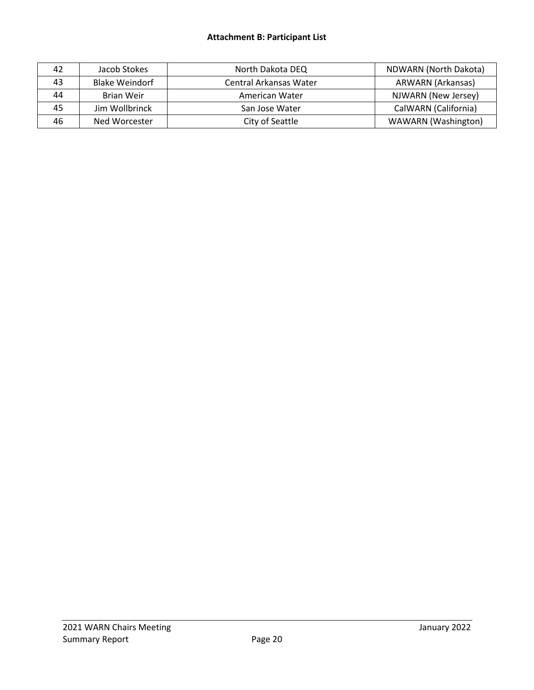## **Attachment B: Participant List**

| 42 | Jacob Stokes          | North Dakota DEQ       | NDWARN (North Dakota)    |
|----|-----------------------|------------------------|--------------------------|
| 43 | <b>Blake Weindorf</b> | Central Arkansas Water | <b>ARWARN (Arkansas)</b> |
| 44 | Brian Weir            | American Water         | NJWARN (New Jersey)      |
| 45 | Jim Wollbrinck        | San Jose Water         | CalWARN (California)     |
| 46 | Ned Worcester         | City of Seattle        | WAWARN (Washington)      |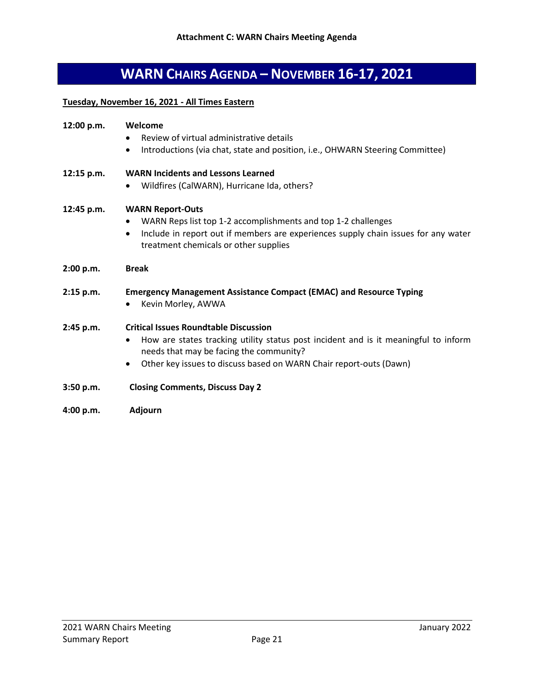# **WARN CHAIRS AGENDA – NOVEMBER 16-17, 2021**

## **Tuesday, November 16, 2021 - All Times Eastern**

| 12:00 p.m. | Welcome                                                                                                                                  |
|------------|------------------------------------------------------------------------------------------------------------------------------------------|
|            | Review of virtual administrative details<br>$\bullet$                                                                                    |
|            | Introductions (via chat, state and position, i.e., OHWARN Steering Committee)<br>$\bullet$                                               |
| 12:15 p.m. | <b>WARN Incidents and Lessons Learned</b>                                                                                                |
|            | Wildfires (CalWARN), Hurricane Ida, others?<br>$\bullet$                                                                                 |
| 12:45 p.m. | <b>WARN Report-Outs</b>                                                                                                                  |
|            | WARN Reps list top 1-2 accomplishments and top 1-2 challenges                                                                            |
|            | Include in report out if members are experiences supply chain issues for any water<br>$\bullet$<br>treatment chemicals or other supplies |
| 2:00 p.m.  | <b>Break</b>                                                                                                                             |
| 2:15 p.m.  | <b>Emergency Management Assistance Compact (EMAC) and Resource Typing</b>                                                                |
|            | Kevin Morley, AWWA<br>$\bullet$                                                                                                          |
| 2:45 p.m.  | <b>Critical Issues Roundtable Discussion</b>                                                                                             |
|            | How are states tracking utility status post incident and is it meaningful to inform<br>٠<br>needs that may be facing the community?      |
|            | Other key issues to discuss based on WARN Chair report-outs (Dawn)<br>$\bullet$                                                          |
| 3:50 p.m.  | <b>Closing Comments, Discuss Day 2</b>                                                                                                   |
| 4:00 p.m.  | <b>Adjourn</b>                                                                                                                           |